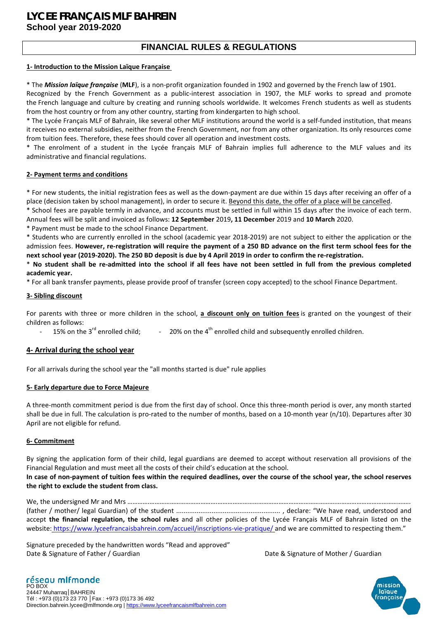## **LYCEE FRANÇAIS MLF BAHREIN School year 2019-2020**

## **FINANCIAL RULES & REGULATIONS**

#### **1- Introduction to the Mission Laïque Française**

\* The *Mission laïque française* (**MLF**), is a non-profit organization founded in 1902 and governed by the French law of 1901.

Recognized by the French Government as a public-interest association in 1907, the MLF works to spread and promote the French language and culture by creating and running schools worldwide. It welcomes French students as well as students from the host country or from any other country, starting from kindergarten to high school.

\* The Lycée Français MLF of Bahrain, like several other MLF institutions around the world is a self-funded institution, that means it receives no external subsidies, neither from the French Government, nor from any other organization. Its only resources come from tuition fees. Therefore, these fees should cover all operation and investment costs.

\* The enrolment of a student in the Lycée français MLF of Bahrain implies full adherence to the MLF values and its administrative and financial regulations.

#### **2- Payment terms and conditions**

\* For new students, the initial registration fees as well as the down-payment are due within 15 days after receiving an offer of a place (decision taken by school management), in order to secure it. Beyond this date, the offer of a place will be cancelled.

\* School fees are payable termly in advance, and accounts must be settled in full within 15 days after the invoice of each term. Annual fees will be split and invoiced as follows: **12 September** 2019**, 11 December** 2019 and **10 March** 2020.

\* Payment must be made to the school Finance Department.

\* Students who are currently enrolled in the school (academic year 2018-2019) are not subject to either the application or the admission fees. **However, re-registration will require the payment of a 250 BD advance on the first term school fees for the next school year (2019-2020). The 250 BD deposit is due by 4 April 2019 in order to confirm the re-registration.** 

\* **No student shall be re-admitted into the school if all fees have not been settled in full from the previous completed academic year.** 

\* For all bank transfer payments, please provide proof of transfer (screen copy accepted) to the school Finance Department.

#### **3- Sibling discount**

For parents with three or more children in the school, **a discount only on tuition fees** is granted on the youngest of their children as follows:

15% on the  $3<sup>rd</sup>$  enrolled child;  $t_1$  = 20% on the 4<sup>th</sup> enrolled child and subsequently enrolled children.

#### **4- Arrival during the school year**

For all arrivals during the school year the "all months started is due" rule applies

#### **5- Early departure due to Force Majeure**

A three-month commitment period is due from the first day of school. Once this three-month period is over, any month started shall be due in full. The calculation is pro-rated to the number of months, based on a 10-month year (n/10). Departures after 30 April are not eligible for refund.

#### **6- Commitment**

By signing the application form of their child, legal guardians are deemed to accept without reservation all provisions of the Financial Regulation and must meet all the costs of their child's education at the school.

**In case of non-payment of tuition fees within the required deadlines, over the course of the school year, the school reserves the right to exclude the student from class.**

We, the undersigned Mr and Mrs ………….………………………………….…………………………………………………………….…………………………………….. (father / mother/ legal Guardian) of the student ........................................................ , declare: "We have read, understood and accept **the financial regulation, the school rules** and all other policies of the Lycée Français MLF of Bahrain listed on the website: <https://www.lyceefrancaisbahrein.com/accueil/inscriptions-vie-pratique/> and we are committed to respecting them."

Signature preceded by the handwritten words "Read and approved" Date & Signature of Father / Guardian Date & Signature of Mother / Guardian Date & Signature of Mother / Guardian